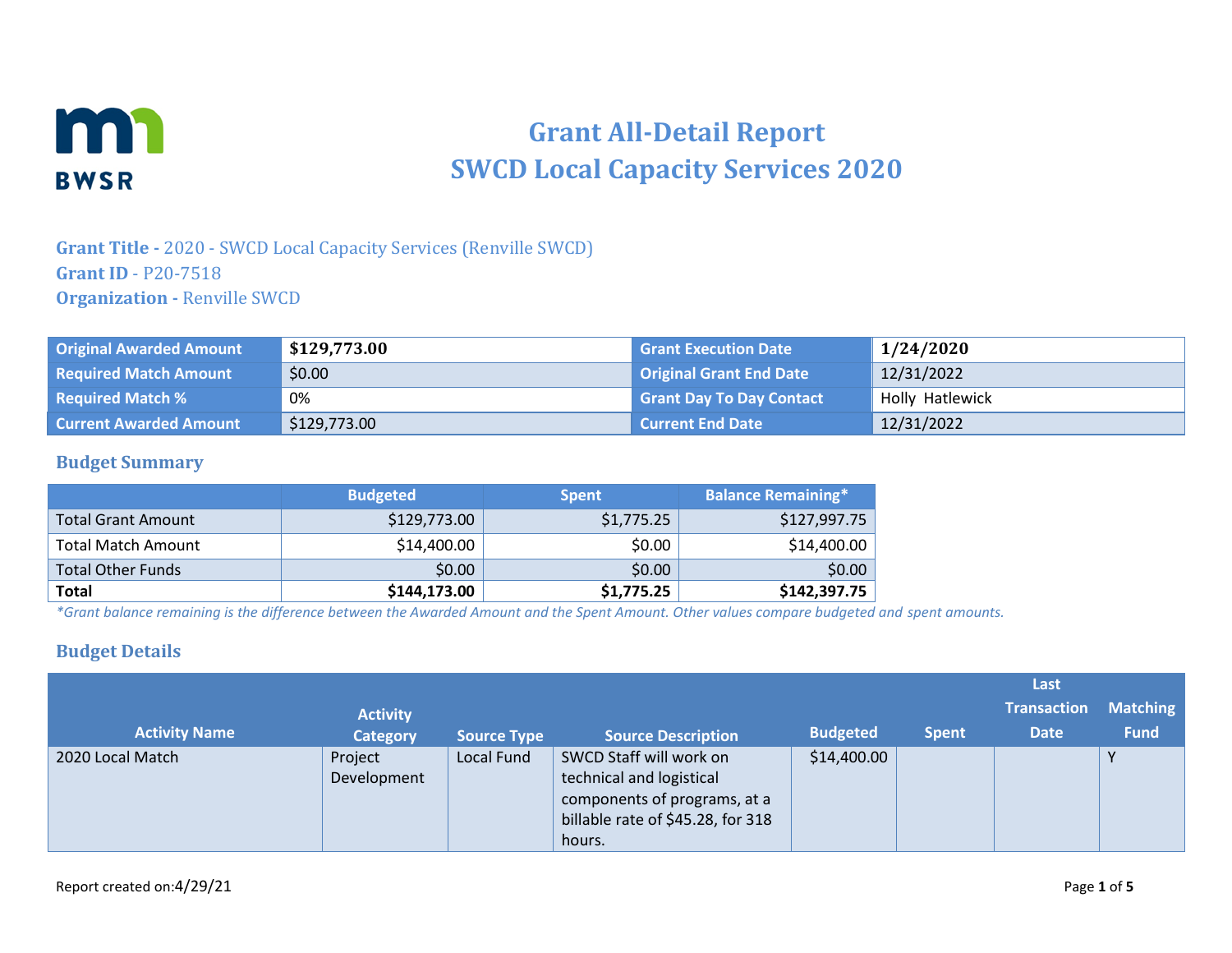

# **Grant All-Detail Report SWCD Local Capacity Services 2020**

### **Grant Title -** 2020 - SWCD Local Capacity Services (Renville SWCD) **Grant ID** - P20-7518 **Organization -** Renville SWCD

| <b>Original Awarded Amount</b> | \$129,773.00 | <b>Grant Execution Date</b>     | 1/24/2020       |
|--------------------------------|--------------|---------------------------------|-----------------|
| <b>Required Match Amount</b>   | \$0.00       | <b>Original Grant End Date</b>  | 12/31/2022      |
| <b>Required Match %</b>        | 0%           | <b>Grant Day To Day Contact</b> | Holly Hatlewick |
| <b>Current Awarded Amount</b>  | \$129,773.00 | Current End Date                | 12/31/2022      |

#### **Budget Summary**

|                          | <b>Budgeted</b> | <b>Spent</b> | <b>Balance Remaining*</b> |
|--------------------------|-----------------|--------------|---------------------------|
| Total Grant Amount       | \$129,773.00    | \$1,775.25   | \$127,997.75              |
| Total Match Amount       | \$14,400.00     | \$0.00       | \$14,400.00               |
| <b>Total Other Funds</b> | \$0.00          | \$0.00       | \$0.00                    |
| <b>Total</b>             | \$144,173.00    | \$1,775.25   | \$142,397.75              |

*\*Grant balance remaining is the difference between the Awarded Amount and the Spent Amount. Other values compare budgeted and spent amounts.*

#### **Budget Details**

|                      |                        |                    |                                                                                                                                    |                 |              | Last               |                 |
|----------------------|------------------------|--------------------|------------------------------------------------------------------------------------------------------------------------------------|-----------------|--------------|--------------------|-----------------|
|                      | <b>Activity</b>        |                    |                                                                                                                                    |                 |              | <b>Transaction</b> | <b>Matching</b> |
| <b>Activity Name</b> | <b>Category</b>        | <b>Source Type</b> | <b>Source Description</b>                                                                                                          | <b>Budgeted</b> | <b>Spent</b> | <b>Date</b>        | <b>Fund</b>     |
| 2020 Local Match     | Project<br>Development | Local Fund         | SWCD Staff will work on<br>technical and logistical<br>components of programs, at a<br>billable rate of \$45.28, for 318<br>hours. | \$14,400.00     |              |                    | $\vee$          |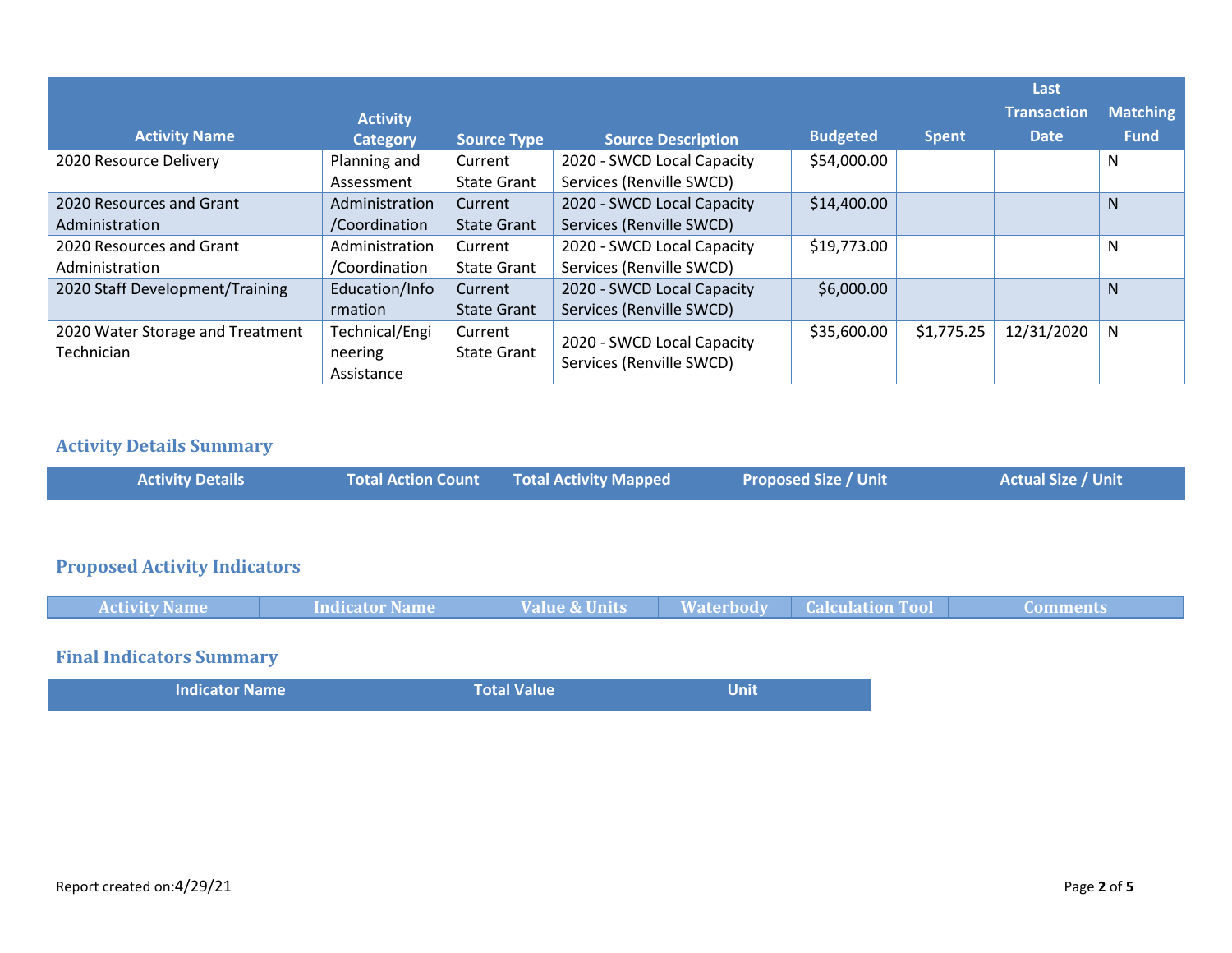|                                                | <b>Activity</b>                         |                               |                                                        |                 |              | Last<br><b>Transaction</b> | <b>Matching</b> |
|------------------------------------------------|-----------------------------------------|-------------------------------|--------------------------------------------------------|-----------------|--------------|----------------------------|-----------------|
| <b>Activity Name</b>                           | <b>Category</b>                         | <b>Source Type</b>            | <b>Source Description</b>                              | <b>Budgeted</b> | <b>Spent</b> | <b>Date</b>                | <b>Fund</b>     |
| 2020 Resource Delivery                         | Planning and<br>Assessment              | Current<br><b>State Grant</b> | 2020 - SWCD Local Capacity<br>Services (Renville SWCD) | \$54,000.00     |              |                            | N               |
| 2020 Resources and Grant<br>Administration     | Administration<br>/Coordination         | Current<br><b>State Grant</b> | 2020 - SWCD Local Capacity<br>Services (Renville SWCD) | \$14,400.00     |              |                            | N               |
| 2020 Resources and Grant<br>Administration     | Administration<br>/Coordination         | Current<br><b>State Grant</b> | 2020 - SWCD Local Capacity<br>Services (Renville SWCD) | \$19,773.00     |              |                            | N               |
| 2020 Staff Development/Training                | Education/Info<br>rmation               | Current<br><b>State Grant</b> | 2020 - SWCD Local Capacity<br>Services (Renville SWCD) | \$6,000.00      |              |                            | N               |
| 2020 Water Storage and Treatment<br>Technician | Technical/Engi<br>neering<br>Assistance | Current<br><b>State Grant</b> | 2020 - SWCD Local Capacity<br>Services (Renville SWCD) | \$35,600.00     | \$1,775.25   | 12/31/2020                 | N               |

# **Activity Details Summary**

| <b>Activity Details</b>             | <b>Total Action Count</b> | <b>Total Activity Mapped</b> | <b>Proposed Size / Unit</b> | <b>Actual Size / Unit</b> |
|-------------------------------------|---------------------------|------------------------------|-----------------------------|---------------------------|
|                                     |                           |                              |                             |                           |
| <b>Proposed Activity Indicators</b> |                           |                              |                             |                           |

| <b>Activity Name</b>            | <b>Indicator Name</b> | <b>Value &amp; Units</b> | <b>Waterbody Calculation Tool</b> | Comments |
|---------------------------------|-----------------------|--------------------------|-----------------------------------|----------|
|                                 |                       |                          |                                   |          |
| <b>Final Indicators Summary</b> |                       |                          |                                   |          |

| <b>Indicator Name</b> | <b>Total Value</b> | Unit |
|-----------------------|--------------------|------|
|                       |                    |      |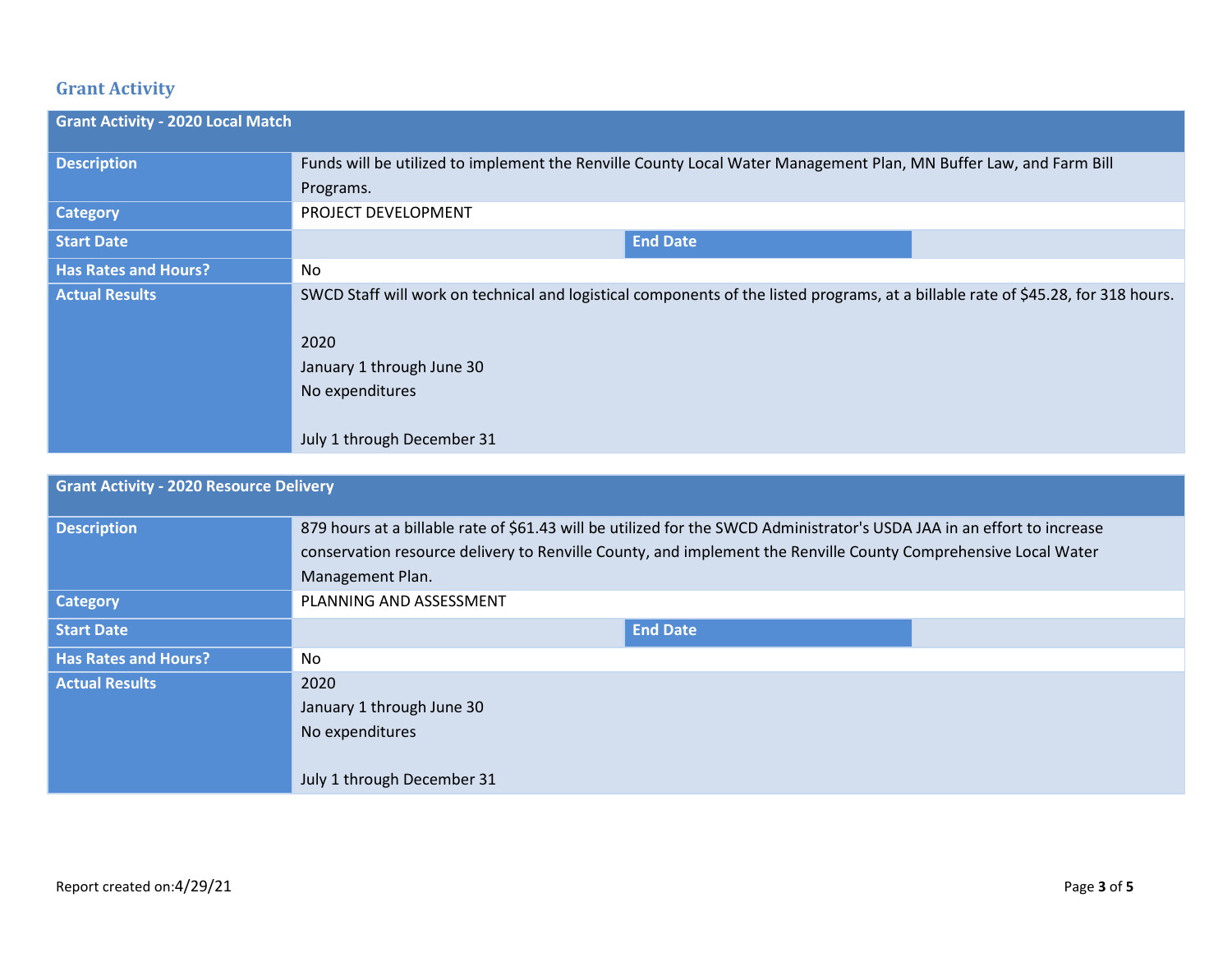# **Grant Activity**

| <b>Grant Activity - 2020 Local Match</b> |                                                                                                                                                                                                                         |
|------------------------------------------|-------------------------------------------------------------------------------------------------------------------------------------------------------------------------------------------------------------------------|
| <b>Description</b>                       | Funds will be utilized to implement the Renville County Local Water Management Plan, MN Buffer Law, and Farm Bill                                                                                                       |
|                                          | Programs.                                                                                                                                                                                                               |
| <b>Category</b>                          | PROJECT DEVELOPMENT                                                                                                                                                                                                     |
| <b>Start Date</b>                        | <b>End Date</b>                                                                                                                                                                                                         |
| <b>Has Rates and Hours?</b>              | No                                                                                                                                                                                                                      |
| <b>Actual Results</b>                    | SWCD Staff will work on technical and logistical components of the listed programs, at a billable rate of \$45.28, for 318 hours.<br>2020<br>January 1 through June 30<br>No expenditures<br>July 1 through December 31 |

| <b>Grant Activity - 2020 Resource Delivery</b> |                                                                                                                                                                                                                                                               |
|------------------------------------------------|---------------------------------------------------------------------------------------------------------------------------------------------------------------------------------------------------------------------------------------------------------------|
| <b>Description</b>                             | 879 hours at a billable rate of \$61.43 will be utilized for the SWCD Administrator's USDA JAA in an effort to increase<br>conservation resource delivery to Renville County, and implement the Renville County Comprehensive Local Water<br>Management Plan. |
| <b>Category</b>                                | PLANNING AND ASSESSMENT                                                                                                                                                                                                                                       |
| <b>Start Date</b>                              | <b>End Date</b>                                                                                                                                                                                                                                               |
| <b>Has Rates and Hours?</b>                    | No                                                                                                                                                                                                                                                            |
| <b>Actual Results</b>                          | 2020<br>January 1 through June 30<br>No expenditures<br>July 1 through December 31                                                                                                                                                                            |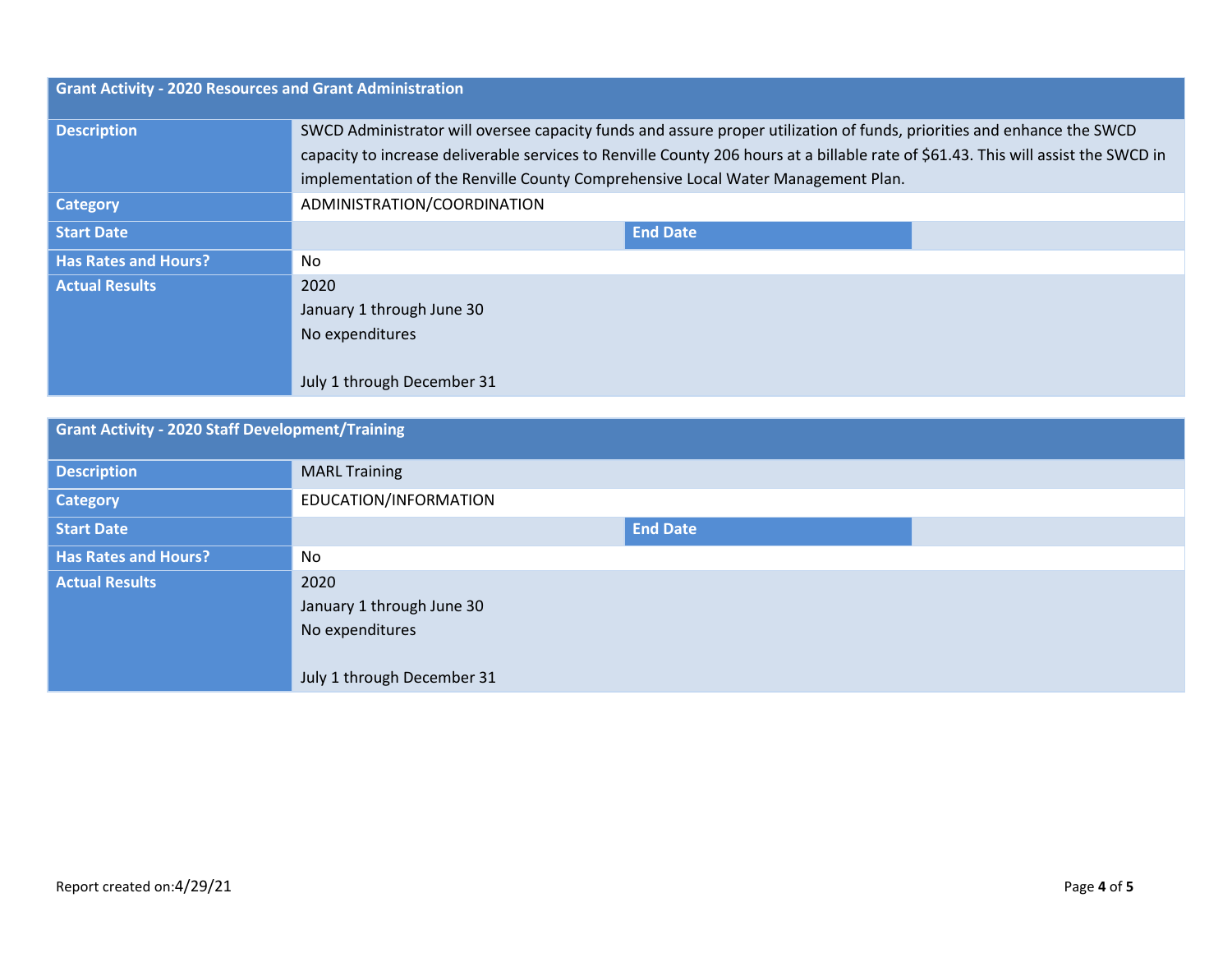| <b>Grant Activity - 2020 Resources and Grant Administration</b> |                                                                                                                                                                                                                                                              |  |  |
|-----------------------------------------------------------------|--------------------------------------------------------------------------------------------------------------------------------------------------------------------------------------------------------------------------------------------------------------|--|--|
| <b>Description</b>                                              | SWCD Administrator will oversee capacity funds and assure proper utilization of funds, priorities and enhance the SWCD<br>capacity to increase deliverable services to Renville County 206 hours at a billable rate of \$61.43. This will assist the SWCD in |  |  |
|                                                                 | implementation of the Renville County Comprehensive Local Water Management Plan.                                                                                                                                                                             |  |  |
| <b>Category</b>                                                 | ADMINISTRATION/COORDINATION                                                                                                                                                                                                                                  |  |  |
| <b>Start Date</b>                                               | <b>End Date</b>                                                                                                                                                                                                                                              |  |  |
| <b>Has Rates and Hours?</b>                                     | No                                                                                                                                                                                                                                                           |  |  |
| <b>Actual Results</b>                                           | 2020                                                                                                                                                                                                                                                         |  |  |
|                                                                 | January 1 through June 30                                                                                                                                                                                                                                    |  |  |
|                                                                 | No expenditures                                                                                                                                                                                                                                              |  |  |
|                                                                 | July 1 through December 31                                                                                                                                                                                                                                   |  |  |

| <b>Grant Activity - 2020 Staff Development/Training</b> |                            |  |  |
|---------------------------------------------------------|----------------------------|--|--|
| <b>Description</b>                                      | <b>MARL Training</b>       |  |  |
| <b>Category</b>                                         | EDUCATION/INFORMATION      |  |  |
| <b>Start Date</b>                                       | <b>End Date</b>            |  |  |
| <b>Has Rates and Hours?</b>                             | No.                        |  |  |
| <b>Actual Results</b>                                   | 2020                       |  |  |
|                                                         | January 1 through June 30  |  |  |
|                                                         | No expenditures            |  |  |
|                                                         |                            |  |  |
|                                                         | July 1 through December 31 |  |  |